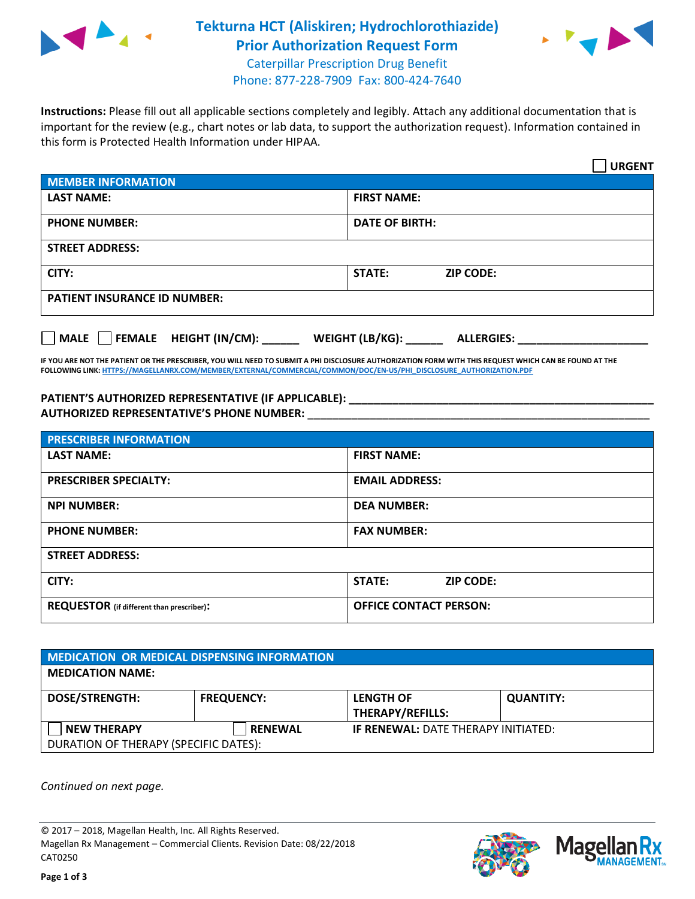

## **Tekturna HCT (Aliskiren; Hydrochlorothiazide) Prior Authorization Request Form** Caterpillar Prescription Drug Benefit



Phone: 877-228-7909 Fax: 800-424-7640

**Instructions:** Please fill out all applicable sections completely and legibly. Attach any additional documentation that is important for the review (e.g., chart notes or lab data, to support the authorization request). Information contained in this form is Protected Health Information under HIPAA.

|                                       | <b>URGENT</b>                        |  |  |
|---------------------------------------|--------------------------------------|--|--|
| <b>MEMBER INFORMATION</b>             |                                      |  |  |
| <b>LAST NAME:</b>                     | <b>FIRST NAME:</b>                   |  |  |
| <b>PHONE NUMBER:</b>                  | <b>DATE OF BIRTH:</b>                |  |  |
| <b>STREET ADDRESS:</b>                |                                      |  |  |
| CITY:                                 | <b>ZIP CODE:</b><br>STATE:           |  |  |
| <b>PATIENT INSURANCE ID NUMBER:</b>   |                                      |  |  |
| FEMALE HEIGHT (IN/CM):<br><b>MALE</b> | WEIGHT (LB/KG):<br><b>ALLERGIES:</b> |  |  |

**IF YOU ARE NOT THE PATIENT OR THE PRESCRIBER, YOU WILL NEED TO SUBMIT A PHI DISCLOSURE AUTHORIZATION FORM WITH THIS REQUEST WHICH CAN BE FOUND AT THE FOLLOWING LINK[: HTTPS://MAGELLANRX.COM/MEMBER/EXTERNAL/COMMERCIAL/COMMON/DOC/EN-US/PHI\\_DISCLOSURE\\_AUTHORIZATION.PDF](https://magellanrx.com/member/external/commercial/common/doc/en-us/PHI_Disclosure_Authorization.pdf)**

**PATIENT'S AUTHORIZED REPRESENTATIVE (IF APPLICABLE): \_\_\_\_\_\_\_\_\_\_\_\_\_\_\_\_\_\_\_\_\_\_\_\_\_\_\_\_\_\_\_\_\_\_\_\_\_\_\_\_\_\_\_\_\_\_\_\_\_ AUTHORIZED REPRESENTATIVE'S PHONE NUMBER:** \_\_\_\_\_\_\_\_\_\_\_\_\_\_\_\_\_\_\_\_\_\_\_\_\_\_\_\_\_\_\_\_\_\_\_\_\_\_\_\_\_\_\_\_\_\_\_\_\_\_\_\_\_\_\_

| <b>PRESCRIBER INFORMATION</b>             |                               |  |  |  |
|-------------------------------------------|-------------------------------|--|--|--|
| <b>LAST NAME:</b>                         | <b>FIRST NAME:</b>            |  |  |  |
| <b>PRESCRIBER SPECIALTY:</b>              | <b>EMAIL ADDRESS:</b>         |  |  |  |
| <b>NPI NUMBER:</b>                        | <b>DEA NUMBER:</b>            |  |  |  |
| <b>PHONE NUMBER:</b>                      | <b>FAX NUMBER:</b>            |  |  |  |
| <b>STREET ADDRESS:</b>                    |                               |  |  |  |
| CITY:                                     | STATE:<br><b>ZIP CODE:</b>    |  |  |  |
| REQUESTOR (if different than prescriber): | <b>OFFICE CONTACT PERSON:</b> |  |  |  |

| <b>MEDICATION OR MEDICAL DISPENSING INFORMATION</b>         |                   |                                             |                  |  |  |
|-------------------------------------------------------------|-------------------|---------------------------------------------|------------------|--|--|
| <b>MEDICATION NAME:</b>                                     |                   |                                             |                  |  |  |
| <b>DOSE/STRENGTH:</b>                                       | <b>FREQUENCY:</b> | <b>LENGTH OF</b><br><b>THERAPY/REFILLS:</b> | <b>QUANTITY:</b> |  |  |
| <b>NEW THERAPY</b><br>DURATION OF THERAPY (SPECIFIC DATES): | <b>RENEWAL</b>    | <b>IF RENEWAL: DATE THERAPY INITIATED:</b>  |                  |  |  |

*Continued on next page.*

© 2017 – 2018, Magellan Health, Inc. All Rights Reserved. Magellan Rx Management – Commercial Clients. Revision Date: 08/22/2018 CAT0250



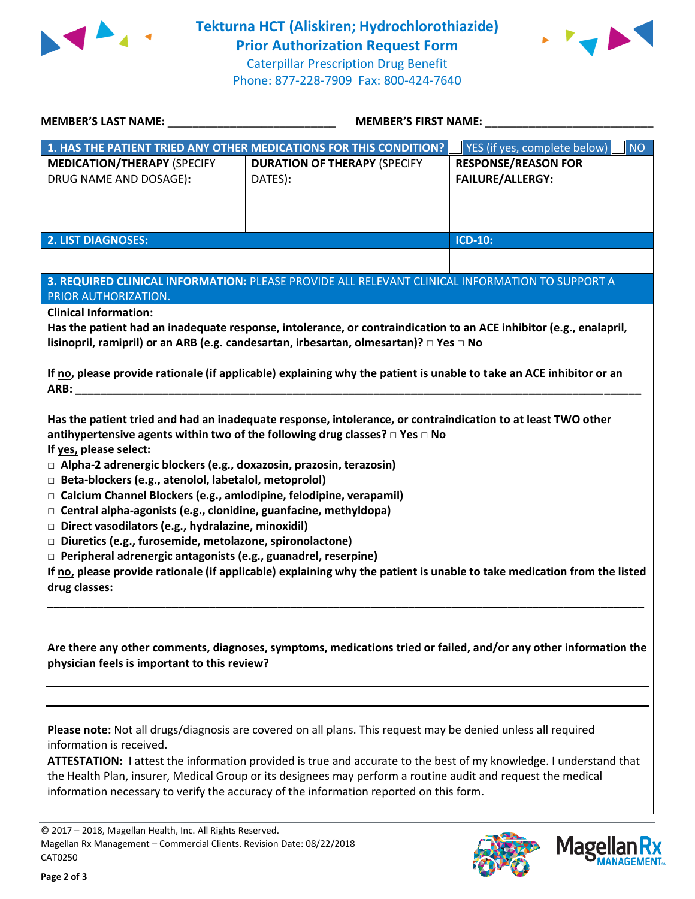



| <b>MEMBER'S LAST NAME:</b>                                                                                                                                                                                                                                                                                                                                                                                                                                                                                                             | <b>MEMBER'S FIRST NAME:</b>                                                                                                                                                                                                                                                                                                                                                                                                                   |                                                       |
|----------------------------------------------------------------------------------------------------------------------------------------------------------------------------------------------------------------------------------------------------------------------------------------------------------------------------------------------------------------------------------------------------------------------------------------------------------------------------------------------------------------------------------------|-----------------------------------------------------------------------------------------------------------------------------------------------------------------------------------------------------------------------------------------------------------------------------------------------------------------------------------------------------------------------------------------------------------------------------------------------|-------------------------------------------------------|
|                                                                                                                                                                                                                                                                                                                                                                                                                                                                                                                                        | 1. HAS THE PATIENT TRIED ANY OTHER MEDICATIONS FOR THIS CONDITION?                                                                                                                                                                                                                                                                                                                                                                            | YES (if yes, complete below)<br><b>NO</b>             |
| <b>MEDICATION/THERAPY (SPECIFY</b><br>DRUG NAME AND DOSAGE):                                                                                                                                                                                                                                                                                                                                                                                                                                                                           | <b>DURATION OF THERAPY (SPECIFY</b><br>DATES):                                                                                                                                                                                                                                                                                                                                                                                                | <b>RESPONSE/REASON FOR</b><br><b>FAILURE/ALLERGY:</b> |
| <b>2. LIST DIAGNOSES:</b>                                                                                                                                                                                                                                                                                                                                                                                                                                                                                                              |                                                                                                                                                                                                                                                                                                                                                                                                                                               | <b>ICD-10:</b>                                        |
| PRIOR AUTHORIZATION.<br><b>Clinical Information:</b>                                                                                                                                                                                                                                                                                                                                                                                                                                                                                   | 3. REQUIRED CLINICAL INFORMATION: PLEASE PROVIDE ALL RELEVANT CLINICAL INFORMATION TO SUPPORT A<br>Has the patient had an inadequate response, intolerance, or contraindication to an ACE inhibitor (e.g., enalapril,                                                                                                                                                                                                                         |                                                       |
| ARB:                                                                                                                                                                                                                                                                                                                                                                                                                                                                                                                                   | lisinopril, ramipril) or an ARB (e.g. candesartan, irbesartan, olmesartan)? □ Yes □ No<br>If no, please provide rationale (if applicable) explaining why the patient is unable to take an ACE inhibitor or an                                                                                                                                                                                                                                 |                                                       |
| If yes, please select:<br>$\Box$ Alpha-2 adrenergic blockers (e.g., doxazosin, prazosin, terazosin)<br>□ Beta-blockers (e.g., atenolol, labetalol, metoprolol)<br>□ Calcium Channel Blockers (e.g., amlodipine, felodipine, verapamil)<br>$\Box$ Central alpha-agonists (e.g., clonidine, guanfacine, methyldopa)<br>$\Box$ Direct vasodilators (e.g., hydralazine, minoxidil)<br>□ Diuretics (e.g., furosemide, metolazone, spironolactone)<br>$\Box$ Peripheral adrenergic antagonists (e.g., guanadrel, reserpine)<br>drug classes: | Has the patient tried and had an inadequate response, intolerance, or contraindication to at least TWO other<br>antihypertensive agents within two of the following drug classes? $\Box$ Yes $\Box$ No<br>If no, please provide rationale (if applicable) explaining why the patient is unable to take medication from the listed                                                                                                             |                                                       |
| physician feels is important to this review?                                                                                                                                                                                                                                                                                                                                                                                                                                                                                           | Are there any other comments, diagnoses, symptoms, medications tried or failed, and/or any other information the                                                                                                                                                                                                                                                                                                                              |                                                       |
| information is received.                                                                                                                                                                                                                                                                                                                                                                                                                                                                                                               | Please note: Not all drugs/diagnosis are covered on all plans. This request may be denied unless all required<br>ATTESTATION: I attest the information provided is true and accurate to the best of my knowledge. I understand that<br>the Health Plan, insurer, Medical Group or its designees may perform a routine audit and request the medical<br>information necessary to verify the accuracy of the information reported on this form. |                                                       |
| © 2017 - 2018, Magellan Health, Inc. All Rights Reserved.<br>Magellan Rx Management - Commercial Clients. Revision Date: 08/22/2018<br>CAT0250                                                                                                                                                                                                                                                                                                                                                                                         |                                                                                                                                                                                                                                                                                                                                                                                                                                               | <b>Mage</b>                                           |